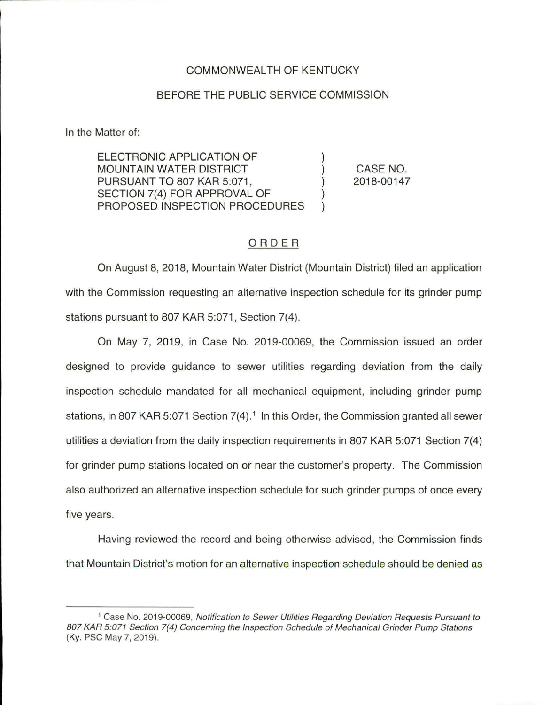## COMMONWEAL TH OF KENTUCKY

## BEFORE THE PUBLIC SERVICE COMMISSION

In the Matter of:

ELECTRONIC APPLICATION OF MOUNTAIN WATER DISTRICT PURSUANT TO 807 KAR 5:071, SECTION 7(4) FOR APPROVAL OF PROPOSED INSPECTION PROCEDURES

CASE NO. 2018-00147

## ORDER

On August 8, 2018, Mountain Water District (Mountain District) filed an application with the Commission requesting an alternative inspection schedule for its grinder pump stations pursuant to 807 KAR 5:071, Section 7(4).

On May 7, 2019, in Case No. 2019-00069, the Commission issued an order designed to provide guidance to sewer utilities regarding deviation from the daily inspection schedule mandated for all mechanical equipment, including grinder pump stations, in 807 KAR 5:071 Section  $7(4)$ .<sup>1</sup> In this Order, the Commission granted all sewer utilities a deviation from the daily inspection requirements in 807 KAR 5:071 Section 7(4) for grinder pump stations located on or near the customer's property. The Commission also authorized an alternative inspection schedule for such grinder pumps of once every five years.

Having reviewed the record and being otherwise advised, the Commission finds that Mountain District's motion for an alternative inspection schedule should be denied as

<sup>1</sup>Case No. 2019-00069, Notification to Sewer Utilities Regarding Deviation Requests Pursuant to 807 KAR 5:071 Section 7(4) Concerning the Inspection Schedule of Mechanical Grinder Pump Stations (Ky. PSC May 7, 2019).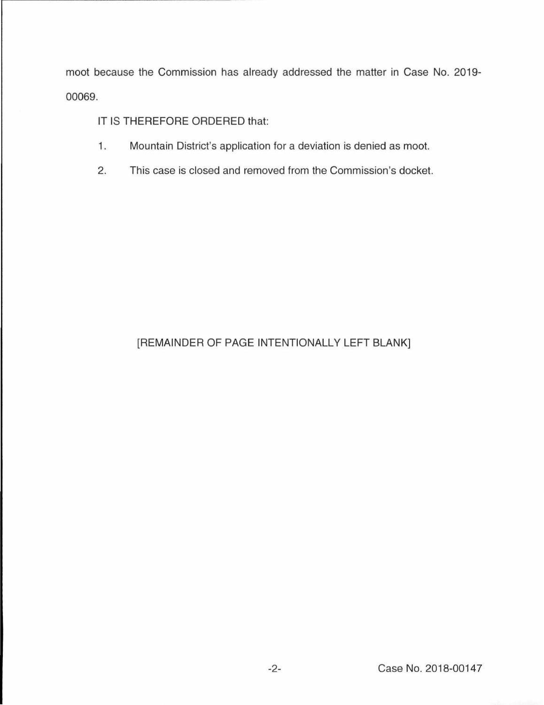moot because the Commission has already addressed the matter in Case No. 2019- 00069.

IT IS THEREFORE ORDERED that:

- 1. Mountain District's application for a deviation is denied as moot.
- 2. This case is closed and removed from the Commission's docket.

## [REMAINDER OF PAGE INTENTIONALLY LEFT BLANK]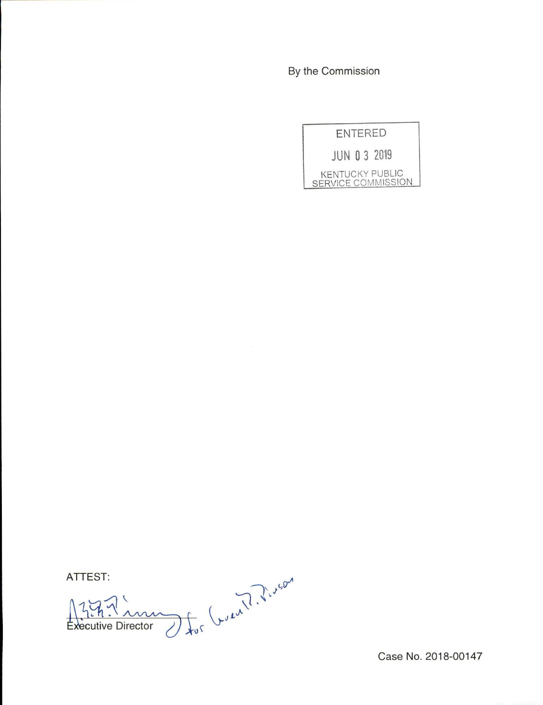By the Commission



ATTEST:

cutive Director